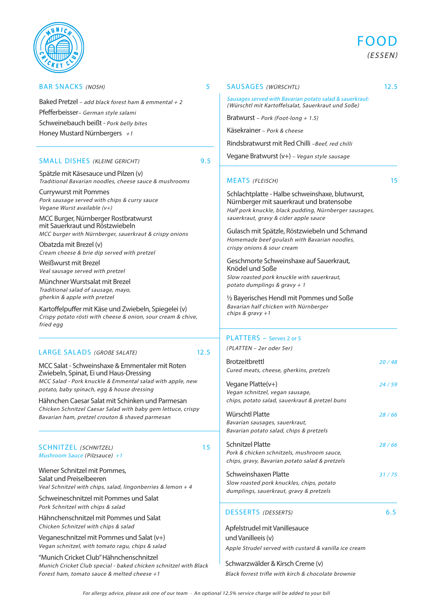# BAR SNACKS (NOSH) 5

Baked Pretzel – add black forest ham & emmental + 2 Pfefferbeisser– German style salami Schweinebauch beißt - Pork belly bites Honey Mustard Nürnbergers  $+1$ 

### SMALL DISHES (KLEINE GERICHT) 9.5

Spätzle mit Käsesauce und Pilzen (v) Traditional Bavarian noodles, cheese sauce & mushrooms

Currywurst mit Pommes Pork sausage served with chips & curry sauce Vegane Wurst available (v+)

MCC Burger, Nürnberger Rostbratwurst mit Sauerkraut und Röstzwiebeln MCC burger with Nürnberger, sauerkraut & crispy onions

Obatzda mit Brezel (v) Cream cheese & brie dip served with pretzel

Weißwurst mit Brezel Veal sausage served with pretzel

Münchner Wurstsalat mit Brezel Traditional salad of sausage, mayo, gherkin & apple with pretzel

Kartoffelpuffer mit Käse und Zwiebeln, Spiegelei (v) Crispy potato rösti with cheese & onion, sour cream & chive, fried egg

### LARGE SALADS (GROBE SALATE) 12.5

MCC Salat - Schweinshaxe & Emmentaler mit Roten Zwiebeln, Spinat, Ei und Haus-Dressing MCC Salad - Pork knuckle & Emmental salad with apple, new potato, baby spinach, egg & house dressing

Hähnchen Caesar Salat mit Schinken und Parmesan Chicken Schnitzel Caesar Salad with baby gem lettuce, crispy Bavarian ham, pretzel crouton & shaved parmesan

### SCHNITZEL (SCHNITZEL) 15 Mushroom Sauce (Pilzsauce) +1

Wiener Schnitzel mit Pommes, Salat und Preiselbeeren Veal Schnitzel with chips, salad, lingonberries & lemon  $+4$ 

Schweineschnitzel mit Pommes und Salat Pork Schnitzel with chips & salad

Hähnchenschnitzel mit Pommes und Salat Chicken Schnitzel with chips & salad

Veganeschnitzel mit Pommes und Salat (v+) Vegan schnitzel, with tomato ragu, chips & salad

"Munich Cricket Club" Hähnchenschnitzel Munich Cricket Club special - baked chicken schnitzel with Black Forest ham, tomato sauce & melted cheese +1

SAUSAGES (WÜRSCHTL) 12.5 Sausages served with Bavarian potato salad & sauerkraut:

(Würschtl mit Kartoffelsalat, Sauerkraut und Soße)

Bratwurst – Pork (Foot-long + 1.5)

Käsekrainer – Pork & cheese

Rindsbratwurst mit Red Chilli –Beef, red chilli

Vegane Bratwurst (v+) – Vegan style sausage

### MEATS (FLEISCH) 15

Schlachtplatte - Halbe schweinshaxe, blutwurst, Nürnberger mit sauerkraut und bratensobe Half pork knuckle, black pudding, Nürnberger sausages, sauerkraut, gravy & cider apple sauce

Gulasch mit Spätzle, Röstzwiebeln und Schmand Homemade beef goulash with Bavarian noodles, crispy onions & sour cream

Geschmorte Schweinshaxe auf Sauerkraut, Knödel und Soße Slow roasted pork knuckle with sauerkraut, potato dumplings & gravy  $+1$ 

½ Bayerisches Hendl mit Pommes und Soße Bavarian half chicken with Nürnberger chips & gravy +1

# PLATTERS - Serves 2 or 5

( PLATTEN – 2er oder 5er)

| <b>Brotzeitbrettl</b><br>Cured meats, cheese, gherkins, pretzels                                                 | 20 / 48 |
|------------------------------------------------------------------------------------------------------------------|---------|
| Vegane Platte(v+)<br>Vegan schnitzel, vegan sausage,<br>chips, potato salad, sauerkraut & pretzel buns           | 24/59   |
| Würschtl Platte<br>Bavarian sausages, sauerkraut,<br>Bavarian potato salad, chips & pretzels                     | 28/66   |
| Schnitzel Platte<br>Pork & chicken schnitzels, mushroom sauce,<br>chips, gravy, Bavarian potato salad & pretzels | 28/66   |
| Schweinshaxen Platte<br>Slow roasted pork knuckles, chips, potato<br>dumplings, sauerkraut, gravy & pretzels     | 31/75   |

DESSERTS (DESSERTS) 6.5

Apfelstrudel mit Vanillesauce und Vanilleeis (v) Apple Strudel served with custard & vanilla ice cream

Schwarzwälder & Kirsch Creme (v) Black forrest trifle with kirch & chocolate brownie

FOOD (ESSEN)